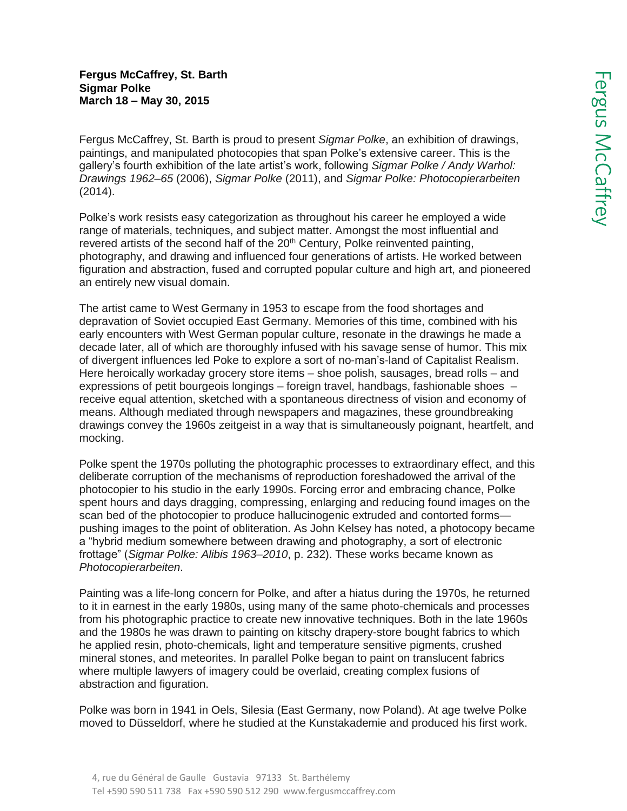## **Fergus McCaffrey, St. Barth Sigmar Polke March 18 – May 30, 2015**

Fergus McCaffrey, St. Barth is proud to present *Sigmar Polke*, an exhibition of drawings, paintings, and manipulated photocopies that span Polke's extensive career. This is the gallery's fourth exhibition of the late artist's work, following *Sigmar Polke / Andy Warhol: Drawings 1962–65* (2006), *Sigmar Polke* (2011), and *Sigmar Polke: Photocopierarbeiten* (2014).

Polke's work resists easy categorization as throughout his career he employed a wide range of materials, techniques, and subject matter. Amongst the most influential and revered artists of the second half of the  $20<sup>th</sup>$  Century, Polke reinvented painting, photography, and drawing and influenced four generations of artists. He worked between figuration and abstraction, fused and corrupted popular culture and high art, and pioneered an entirely new visual domain.

The artist came to West Germany in 1953 to escape from the food shortages and depravation of Soviet occupied East Germany. Memories of this time, combined with his early encounters with West German popular culture, resonate in the drawings he made a decade later, all of which are thoroughly infused with his savage sense of humor. This mix of divergent influences led Poke to explore a sort of no-man's-land of Capitalist Realism. Here heroically workaday grocery store items – shoe polish, sausages, bread rolls – and expressions of petit bourgeois longings – foreign travel, handbags, fashionable shoes – receive equal attention, sketched with a spontaneous directness of vision and economy of means. Although mediated through newspapers and magazines, these groundbreaking drawings convey the 1960s zeitgeist in a way that is simultaneously poignant, heartfelt, and mocking.

Polke spent the 1970s polluting the photographic processes to extraordinary effect, and this deliberate corruption of the mechanisms of reproduction foreshadowed the arrival of the photocopier to his studio in the early 1990s. Forcing error and embracing chance, Polke spent hours and days dragging, compressing, enlarging and reducing found images on the scan bed of the photocopier to produce hallucinogenic extruded and contorted forms pushing images to the point of obliteration. As John Kelsey has noted, a photocopy became a "hybrid medium somewhere between drawing and photography, a sort of electronic frottage" (*Sigmar Polke: Alibis 1963–2010*, p. 232). These works became known as *Photocopierarbeiten*.

Painting was a life-long concern for Polke, and after a hiatus during the 1970s, he returned to it in earnest in the early 1980s, using many of the same photo-chemicals and processes from his photographic practice to create new innovative techniques. Both in the late 1960s and the 1980s he was drawn to painting on kitschy drapery-store bought fabrics to which he applied resin, photo-chemicals, light and temperature sensitive pigments, crushed mineral stones, and meteorites. In parallel Polke began to paint on translucent fabrics where multiple lawyers of imagery could be overlaid, creating complex fusions of abstraction and figuration.

Polke was born in 1941 in Oels, Silesia (East Germany, now Poland). At age twelve Polke moved to Düsseldorf, where he studied at the Kunstakademie and produced his first work.